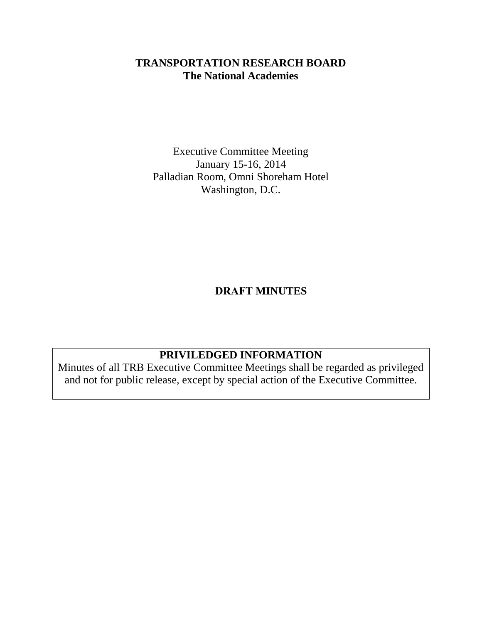# **TRANSPORTATION RESEARCH BOARD The National Academies**

Executive Committee Meeting January 15-16, 2014 Palladian Room, Omni Shoreham Hotel Washington, D.C.

**DRAFT MINUTES** 

# **PRIVILEDGED INFORMATION**

Minutes of all TRB Executive Committee Meetings shall be regarded as privileged and not for public release, except by special action of the Executive Committee.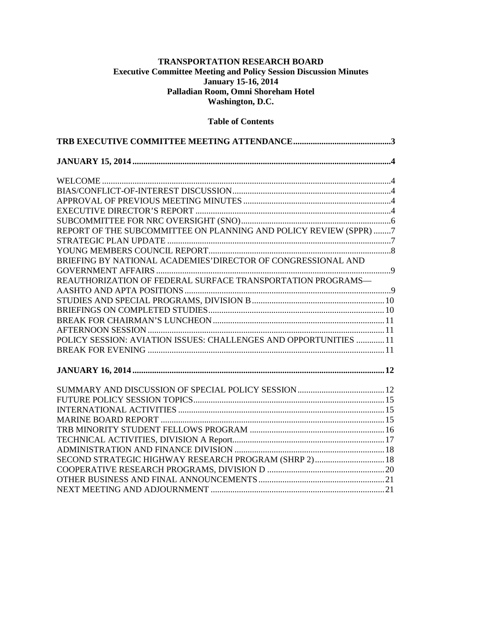#### **TRANSPORTATION RESEARCH BOARD Executive Committee Meeting and Policy Session Discussion Minutes January 15-16, 2014 Palladian Room, Omni Shoreham Hotel Washington, D.C.**

#### **Table of Contents**

| REPORT OF THE SUBCOMMITTEE ON PLANNING AND POLICY REVIEW (SPPR) 7 |  |
|-------------------------------------------------------------------|--|
|                                                                   |  |
|                                                                   |  |
| BRIEFING BY NATIONAL ACADEMIES'DIRECTOR OF CONGRESSIONAL AND      |  |
|                                                                   |  |
| REAUTHORIZATION OF FEDERAL SURFACE TRANSPORTATION PROGRAMS-       |  |
|                                                                   |  |
|                                                                   |  |
|                                                                   |  |
|                                                                   |  |
|                                                                   |  |
| POLICY SESSION: AVIATION ISSUES: CHALLENGES AND OPPORTUNITIES 11  |  |
|                                                                   |  |
|                                                                   |  |
|                                                                   |  |
|                                                                   |  |
|                                                                   |  |
|                                                                   |  |
|                                                                   |  |
|                                                                   |  |
|                                                                   |  |
| SECOND STRATEGIC HIGHWAY RESEARCH PROGRAM (SHRP 2) 18             |  |
|                                                                   |  |
|                                                                   |  |
|                                                                   |  |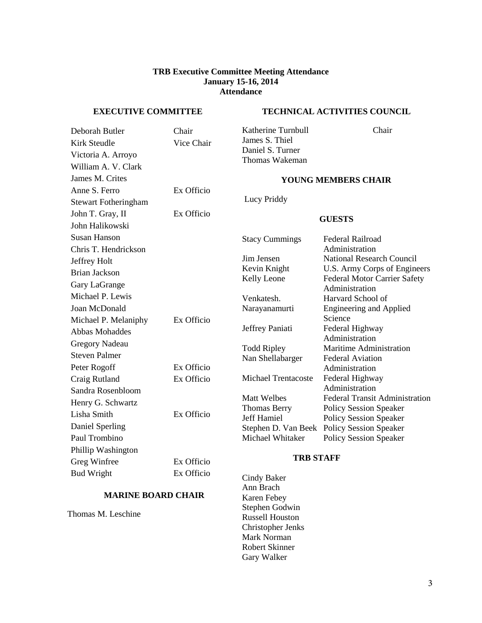#### **TRB Executive Committee Meeting Attendance January 15-16, 2014 Attendance**

#### **EXECUTIVE COMMITTEE**

#### **TECHNICAL ACTIVITIES COUNCIL**

| Deborah Butler              | Chair      | Katherine Turnbull                     | Chair                                             |  |
|-----------------------------|------------|----------------------------------------|---------------------------------------------------|--|
| <b>Kirk Steudle</b>         | Vice Chair | James S. Thiel<br>Daniel S. Turner     |                                                   |  |
| Victoria A. Arroyo          |            | Thomas Wakeman                         |                                                   |  |
| William A. V. Clark         |            |                                        |                                                   |  |
| James M. Crites             |            |                                        | <b>YOUNG MEMBERS CHAIR</b>                        |  |
| Anne S. Ferro               | Ex Officio |                                        |                                                   |  |
| <b>Stewart Fotheringham</b> |            | Lucy Priddy                            |                                                   |  |
| John T. Gray, II            | Ex Officio |                                        | <b>GUESTS</b>                                     |  |
| John Halikowski             |            |                                        |                                                   |  |
| <b>Susan Hanson</b>         |            | <b>Stacy Cummings</b>                  | <b>Federal Railroad</b>                           |  |
| Chris T. Hendrickson        |            |                                        | Administration                                    |  |
| Jeffrey Holt                |            | Jim Jensen                             | <b>National Research Cour</b>                     |  |
| <b>Brian Jackson</b>        |            | Kevin Knight                           | U.S. Army Corps of Eng                            |  |
| Gary LaGrange               |            | Kelly Leone                            | <b>Federal Motor Carrier S</b><br>Administration  |  |
| Michael P. Lewis            |            | Venkatesh.                             | Harvard School of                                 |  |
| Joan McDonald               |            | Narayanamurti                          | <b>Engineering and Applie</b>                     |  |
| Michael P. Melaniphy        | Ex Officio |                                        | Science                                           |  |
| <b>Abbas Mohaddes</b>       |            | Jeffrey Paniati                        | Federal Highway                                   |  |
| <b>Gregory Nadeau</b>       |            |                                        | Administration                                    |  |
| <b>Steven Palmer</b>        |            | <b>Todd Ripley</b><br>Nan Shellabarger | Maritime Administratio<br><b>Federal Aviation</b> |  |
| Peter Rogoff                | Ex Officio |                                        | Administration                                    |  |
| Craig Rutland               | Ex Officio | <b>Michael Trentacoste</b>             | Federal Highway                                   |  |
| Sandra Rosenbloom           |            |                                        | Administration                                    |  |
| Henry G. Schwartz           |            | <b>Matt Welbes</b>                     | Federal Transit Adminis                           |  |
| Lisha Smith                 | Ex Officio | <b>Thomas Berry</b><br>Jeff Hamiel     | Policy Session Speaker<br>Policy Session Speaker  |  |
| Daniel Sperling             |            | Stephen D. Van Beek                    | <b>Policy Session Speaker</b>                     |  |
| Paul Trombino               |            | Michael Whitaker                       | <b>Policy Session Speaker</b>                     |  |
| Phillip Washington          |            |                                        |                                                   |  |
| Greg Winfree                | Ex Officio | <b>TRB STAFF</b>                       |                                                   |  |
| <b>Bud Wright</b>           | Ex Officio | <b>Cindy Baker</b>                     |                                                   |  |

#### **MARINE BOARD CHAIR**

Thomas M. Leschine

#### **YOUNG MEMBERS CHAIR**

#### **GUESTS**

National Research Council U.S. Army Corps of Engineers

hight one Federal Motor Carrier Safety

Engineering and Applied Science aniati Federal Highway Administration **The Ripley Maritime Administration** Ilabarger Federal Aviation Administration Trentacoste Federal Highway Administration Ibes Federal Transit Administration Berry Policy Session Speaker iel Policy Session Speaker D. Van Beek Policy Session Speaker

#### **TRB STAFF**

ıker Ann Brach Karen Febey Stephen Godwin Russell Houston Christopher Jenks Mark Norman Robert Skinner Gary Walker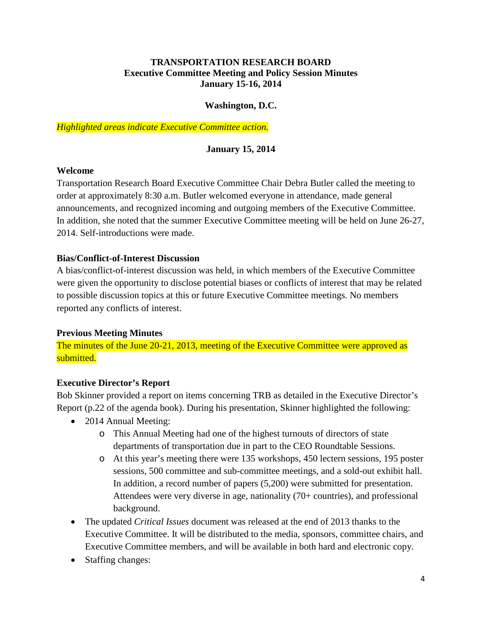#### **TRANSPORTATION RESEARCH BOARD Executive Committee Meeting and Policy Session Minutes January 15-16, 2014**

#### **Washington, D.C.**

*Highlighted areas indicate Executive Committee action.* 

### **January 15, 2014**

#### **Welcome**

Transportation Research Board Executive Committee Chair Debra Butler called the meeting to order at approximately 8:30 a.m. Butler welcomed everyone in attendance, made general announcements, and recognized incoming and outgoing members of the Executive Committee. In addition, she noted that the summer Executive Committee meeting will be held on June 26-27, 2014. Self-introductions were made.

#### **Bias/Conflict-of-Interest Discussion**

A bias/conflict-of-interest discussion was held, in which members of the Executive Committee were given the opportunity to disclose potential biases or conflicts of interest that may be related to possible discussion topics at this or future Executive Committee meetings. No members reported any conflicts of interest.

### **Previous Meeting Minutes**

The minutes of the June 20-21, 2013, meeting of the Executive Committee were approved as submitted.

### **Executive Director's Report**

Bob Skinner provided a report on items concerning TRB as detailed in the Executive Director's Report (p.22 of the agenda book). During his presentation, Skinner highlighted the following:

- 2014 Annual Meeting:
	- o This Annual Meeting had one of the highest turnouts of directors of state departments of transportation due in part to the CEO Roundtable Sessions.
	- o At this year's meeting there were 135 workshops, 450 lectern sessions, 195 poster sessions, 500 committee and sub-committee meetings, and a sold-out exhibit hall. In addition, a record number of papers (5,200) were submitted for presentation. Attendees were very diverse in age, nationality (70+ countries), and professional background.
- The updated *Critical Issues* document was released at the end of 2013 thanks to the Executive Committee. It will be distributed to the media, sponsors, committee chairs, and Executive Committee members, and will be available in both hard and electronic copy.
- Staffing changes: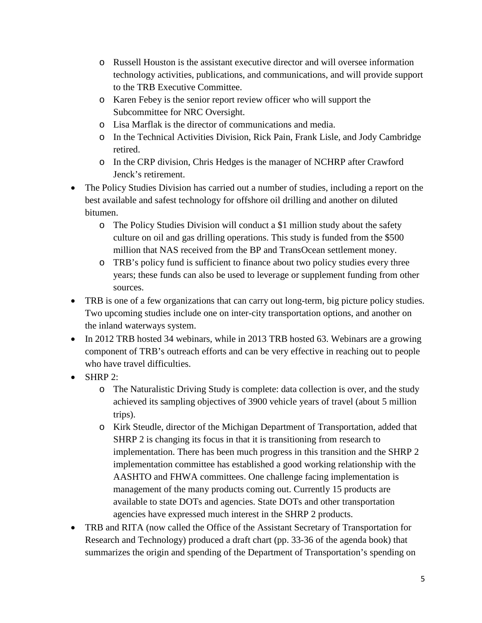- o Russell Houston is the assistant executive director and will oversee information technology activities, publications, and communications, and will provide support to the TRB Executive Committee.
- o Karen Febey is the senior report review officer who will support the Subcommittee for NRC Oversight.
- o Lisa Marflak is the director of communications and media.
- o In the Technical Activities Division, Rick Pain, Frank Lisle, and Jody Cambridge retired.
- o In the CRP division, Chris Hedges is the manager of NCHRP after Crawford Jenck's retirement.
- The Policy Studies Division has carried out a number of studies, including a report on the best available and safest technology for offshore oil drilling and another on diluted bitumen.
	- o The Policy Studies Division will conduct a \$1 million study about the safety culture on oil and gas drilling operations. This study is funded from the \$500 million that NAS received from the BP and TransOcean settlement money.
	- o TRB's policy fund is sufficient to finance about two policy studies every three years; these funds can also be used to leverage or supplement funding from other sources.
- TRB is one of a few organizations that can carry out long-term, big picture policy studies. Two upcoming studies include one on inter-city transportation options, and another on the inland waterways system.
- In 2012 TRB hosted 34 webinars, while in 2013 TRB hosted 63. Webinars are a growing component of TRB's outreach efforts and can be very effective in reaching out to people who have travel difficulties.
- SHRP 2:
	- o The Naturalistic Driving Study is complete: data collection is over, and the study achieved its sampling objectives of 3900 vehicle years of travel (about 5 million trips).
	- o Kirk Steudle, director of the Michigan Department of Transportation, added that SHRP 2 is changing its focus in that it is transitioning from research to implementation. There has been much progress in this transition and the SHRP 2 implementation committee has established a good working relationship with the AASHTO and FHWA committees. One challenge facing implementation is management of the many products coming out. Currently 15 products are available to state DOTs and agencies. State DOTs and other transportation agencies have expressed much interest in the SHRP 2 products.
- TRB and RITA (now called the Office of the Assistant Secretary of Transportation for Research and Technology) produced a draft chart (pp. 33-36 of the agenda book) that summarizes the origin and spending of the Department of Transportation's spending on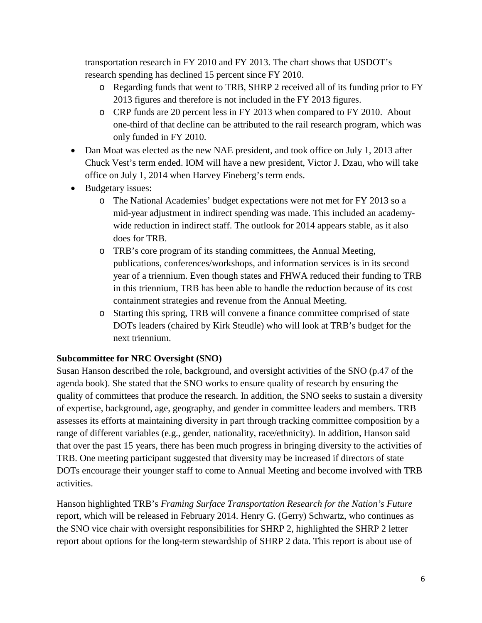transportation research in FY 2010 and FY 2013. The chart shows that USDOT's research spending has declined 15 percent since FY 2010.

- o Regarding funds that went to TRB, SHRP 2 received all of its funding prior to FY 2013 figures and therefore is not included in the FY 2013 figures.
- o CRP funds are 20 percent less in FY 2013 when compared to FY 2010. About one-third of that decline can be attributed to the rail research program, which was only funded in FY 2010.
- Dan Moat was elected as the new NAE president, and took office on July 1, 2013 after Chuck Vest's term ended. IOM will have a new president, Victor J. Dzau, who will take office on July 1, 2014 when Harvey Fineberg's term ends.
- Budgetary issues:
	- o The National Academies' budget expectations were not met for FY 2013 so a mid-year adjustment in indirect spending was made. This included an academywide reduction in indirect staff. The outlook for 2014 appears stable, as it also does for TRB.
	- o TRB's core program of its standing committees, the Annual Meeting, publications, conferences/workshops, and information services is in its second year of a triennium. Even though states and FHWA reduced their funding to TRB in this triennium, TRB has been able to handle the reduction because of its cost containment strategies and revenue from the Annual Meeting.
	- o Starting this spring, TRB will convene a finance committee comprised of state DOTs leaders (chaired by Kirk Steudle) who will look at TRB's budget for the next triennium.

## **Subcommittee for NRC Oversight (SNO)**

Susan Hanson described the role, background, and oversight activities of the SNO (p.47 of the agenda book). She stated that the SNO works to ensure quality of research by ensuring the quality of committees that produce the research. In addition, the SNO seeks to sustain a diversity of expertise, background, age, geography, and gender in committee leaders and members. TRB assesses its efforts at maintaining diversity in part through tracking committee composition by a range of different variables (e.g., gender, nationality, race/ethnicity). In addition, Hanson said that over the past 15 years, there has been much progress in bringing diversity to the activities of TRB. One meeting participant suggested that diversity may be increased if directors of state DOTs encourage their younger staff to come to Annual Meeting and become involved with TRB activities.

Hanson highlighted TRB's *Framing Surface Transportation Research for the Nation's Future* report, which will be released in February 2014. Henry G. (Gerry) Schwartz, who continues as the SNO vice chair with oversight responsibilities for SHRP 2, highlighted the SHRP 2 letter report about options for the long-term stewardship of SHRP 2 data. This report is about use of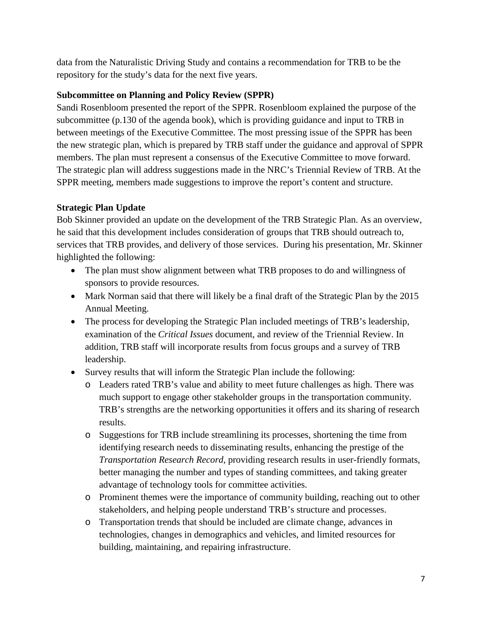data from the Naturalistic Driving Study and contains a recommendation for TRB to be the repository for the study's data for the next five years.

## **Subcommittee on Planning and Policy Review (SPPR)**

Sandi Rosenbloom presented the report of the SPPR. Rosenbloom explained the purpose of the subcommittee (p.130 of the agenda book), which is providing guidance and input to TRB in between meetings of the Executive Committee. The most pressing issue of the SPPR has been the new strategic plan, which is prepared by TRB staff under the guidance and approval of SPPR members. The plan must represent a consensus of the Executive Committee to move forward. The strategic plan will address suggestions made in the NRC's Triennial Review of TRB. At the SPPR meeting, members made suggestions to improve the report's content and structure.

## **Strategic Plan Update**

Bob Skinner provided an update on the development of the TRB Strategic Plan. As an overview, he said that this development includes consideration of groups that TRB should outreach to, services that TRB provides, and delivery of those services. During his presentation, Mr. Skinner highlighted the following:

- The plan must show alignment between what TRB proposes to do and willingness of sponsors to provide resources.
- Mark Norman said that there will likely be a final draft of the Strategic Plan by the 2015 Annual Meeting.
- The process for developing the Strategic Plan included meetings of TRB's leadership, examination of the *Critical Issues* document, and review of the Triennial Review. In addition, TRB staff will incorporate results from focus groups and a survey of TRB leadership.
- Survey results that will inform the Strategic Plan include the following:
	- o Leaders rated TRB's value and ability to meet future challenges as high. There was much support to engage other stakeholder groups in the transportation community. TRB's strengths are the networking opportunities it offers and its sharing of research results.
	- o Suggestions for TRB include streamlining its processes, shortening the time from identifying research needs to disseminating results, enhancing the prestige of the *Transportation Research Record*, providing research results in user-friendly formats, better managing the number and types of standing committees, and taking greater advantage of technology tools for committee activities.
	- o Prominent themes were the importance of community building, reaching out to other stakeholders, and helping people understand TRB's structure and processes.
	- o Transportation trends that should be included are climate change, advances in technologies, changes in demographics and vehicles, and limited resources for building, maintaining, and repairing infrastructure.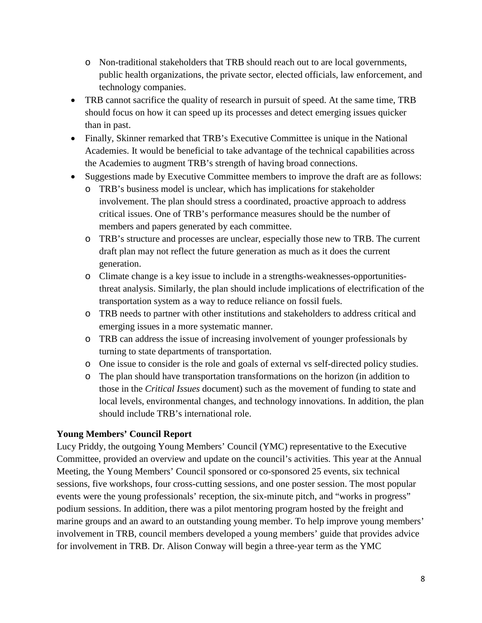- o Non-traditional stakeholders that TRB should reach out to are local governments, public health organizations, the private sector, elected officials, law enforcement, and technology companies.
- TRB cannot sacrifice the quality of research in pursuit of speed. At the same time, TRB should focus on how it can speed up its processes and detect emerging issues quicker than in past.
- Finally, Skinner remarked that TRB's Executive Committee is unique in the National Academies. It would be beneficial to take advantage of the technical capabilities across the Academies to augment TRB's strength of having broad connections.
- Suggestions made by Executive Committee members to improve the draft are as follows:
	- o TRB's business model is unclear, which has implications for stakeholder involvement. The plan should stress a coordinated, proactive approach to address critical issues. One of TRB's performance measures should be the number of members and papers generated by each committee.
	- o TRB's structure and processes are unclear, especially those new to TRB. The current draft plan may not reflect the future generation as much as it does the current generation.
	- o Climate change is a key issue to include in a strengths-weaknesses-opportunitiesthreat analysis. Similarly, the plan should include implications of electrification of the transportation system as a way to reduce reliance on fossil fuels.
	- o TRB needs to partner with other institutions and stakeholders to address critical and emerging issues in a more systematic manner.
	- o TRB can address the issue of increasing involvement of younger professionals by turning to state departments of transportation.
	- o One issue to consider is the role and goals of external vs self-directed policy studies.
	- o The plan should have transportation transformations on the horizon (in addition to those in the *Critical Issues* document) such as the movement of funding to state and local levels, environmental changes, and technology innovations. In addition, the plan should include TRB's international role.

### **Young Members' Council Report**

Lucy Priddy, the outgoing Young Members' Council (YMC) representative to the Executive Committee, provided an overview and update on the council's activities. This year at the Annual Meeting, the Young Members' Council sponsored or co-sponsored 25 events, six technical sessions, five workshops, four cross-cutting sessions, and one poster session. The most popular events were the young professionals' reception, the six-minute pitch, and "works in progress" podium sessions. In addition, there was a pilot mentoring program hosted by the freight and marine groups and an award to an outstanding young member. To help improve young members' involvement in TRB, council members developed a young members' guide that provides advice for involvement in TRB. Dr. Alison Conway will begin a three-year term as the YMC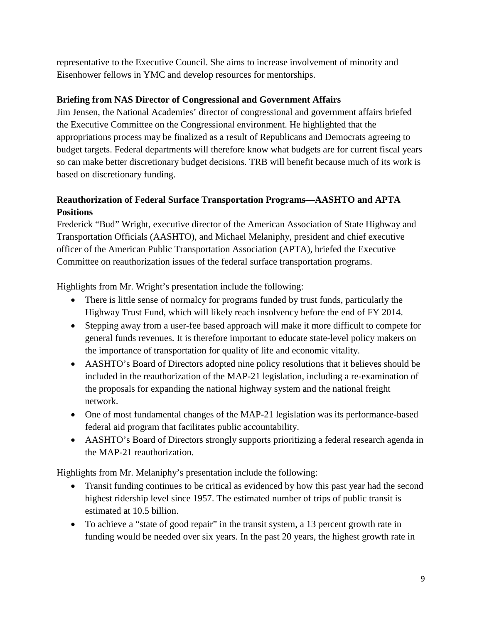representative to the Executive Council. She aims to increase involvement of minority and Eisenhower fellows in YMC and develop resources for mentorships.

## **Briefing from NAS Director of Congressional and Government Affairs**

Jim Jensen, the National Academies' director of congressional and government affairs briefed the Executive Committee on the Congressional environment. He highlighted that the appropriations process may be finalized as a result of Republicans and Democrats agreeing to budget targets. Federal departments will therefore know what budgets are for current fiscal years so can make better discretionary budget decisions. TRB will benefit because much of its work is based on discretionary funding.

# **Reauthorization of Federal Surface Transportation Programs—AASHTO and APTA Positions**

Frederick "Bud" Wright, executive director of the American Association of State Highway and Transportation Officials (AASHTO), and Michael Melaniphy, president and chief executive officer of the American Public Transportation Association (APTA), briefed the Executive Committee on reauthorization issues of the federal surface transportation programs.

Highlights from Mr. Wright's presentation include the following:

- There is little sense of normalcy for programs funded by trust funds, particularly the Highway Trust Fund, which will likely reach insolvency before the end of FY 2014.
- Stepping away from a user-fee based approach will make it more difficult to compete for general funds revenues. It is therefore important to educate state-level policy makers on the importance of transportation for quality of life and economic vitality.
- AASHTO's Board of Directors adopted nine policy resolutions that it believes should be included in the reauthorization of the MAP-21 legislation, including a re-examination of the proposals for expanding the national highway system and the national freight network.
- One of most fundamental changes of the MAP-21 legislation was its performance-based federal aid program that facilitates public accountability.
- AASHTO's Board of Directors strongly supports prioritizing a federal research agenda in the MAP-21 reauthorization.

Highlights from Mr. Melaniphy's presentation include the following:

- Transit funding continues to be critical as evidenced by how this past year had the second highest ridership level since 1957. The estimated number of trips of public transit is estimated at 10.5 billion.
- To achieve a "state of good repair" in the transit system, a 13 percent growth rate in funding would be needed over six years. In the past 20 years, the highest growth rate in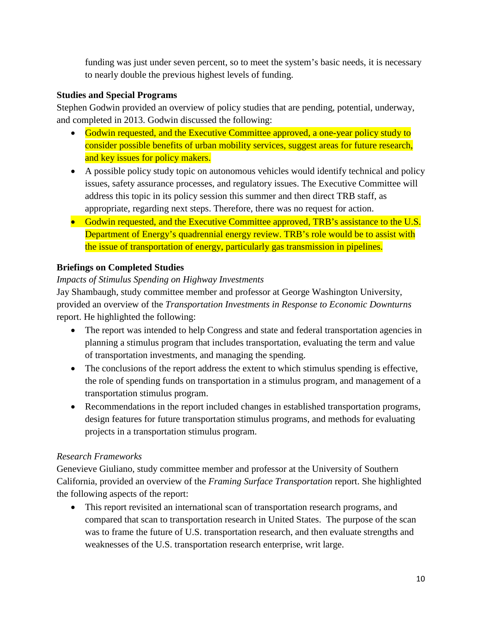funding was just under seven percent, so to meet the system's basic needs, it is necessary to nearly double the previous highest levels of funding.

## **Studies and Special Programs**

Stephen Godwin provided an overview of policy studies that are pending, potential, underway, and completed in 2013. Godwin discussed the following:

- Godwin requested, and the Executive Committee approved, a one-year policy study to consider possible benefits of urban mobility services, suggest areas for future research, and key issues for policy makers.
- A possible policy study topic on autonomous vehicles would identify technical and policy issues, safety assurance processes, and regulatory issues. The Executive Committee will address this topic in its policy session this summer and then direct TRB staff, as appropriate, regarding next steps. Therefore, there was no request for action.
- Godwin requested, and the Executive Committee approved, TRB's assistance to the U.S. Department of Energy's quadrennial energy review. TRB's role would be to assist with the issue of transportation of energy, particularly gas transmission in pipelines.

## **Briefings on Completed Studies**

### *Impacts of Stimulus Spending on Highway Investments*

Jay Shambaugh, study committee member and professor at George Washington University, provided an overview of the *Transportation Investments in Response to Economic Downturns*  report. He highlighted the following:

- The report was intended to help Congress and state and federal transportation agencies in planning a stimulus program that includes transportation, evaluating the term and value of transportation investments, and managing the spending.
- The conclusions of the report address the extent to which stimulus spending is effective, the role of spending funds on transportation in a stimulus program, and management of a transportation stimulus program.
- Recommendations in the report included changes in established transportation programs, design features for future transportation stimulus programs, and methods for evaluating projects in a transportation stimulus program.

### *Research Frameworks*

Genevieve Giuliano, study committee member and professor at the University of Southern California, provided an overview of the *Framing Surface Transportation* report. She highlighted the following aspects of the report:

• This report revisited an international scan of transportation research programs, and compared that scan to transportation research in United States. The purpose of the scan was to frame the future of U.S. transportation research, and then evaluate strengths and weaknesses of the U.S. transportation research enterprise, writ large.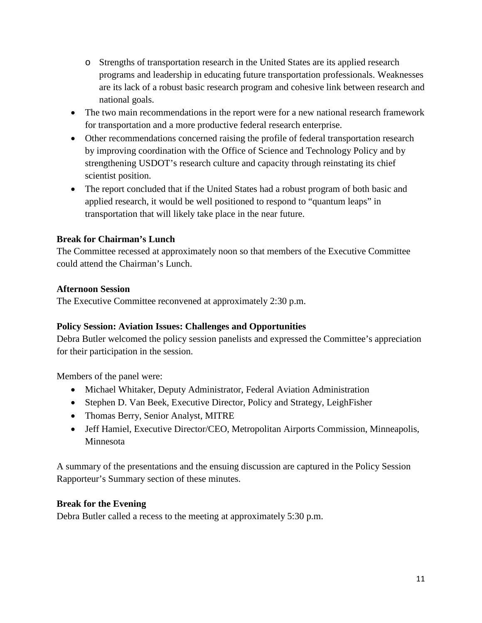- o Strengths of transportation research in the United States are its applied research programs and leadership in educating future transportation professionals. Weaknesses are its lack of a robust basic research program and cohesive link between research and national goals.
- The two main recommendations in the report were for a new national research framework for transportation and a more productive federal research enterprise.
- Other recommendations concerned raising the profile of federal transportation research by improving coordination with the Office of Science and Technology Policy and by strengthening USDOT's research culture and capacity through reinstating its chief scientist position.
- The report concluded that if the United States had a robust program of both basic and applied research, it would be well positioned to respond to "quantum leaps" in transportation that will likely take place in the near future.

## **Break for Chairman's Lunch**

The Committee recessed at approximately noon so that members of the Executive Committee could attend the Chairman's Lunch.

## **Afternoon Session**

The Executive Committee reconvened at approximately 2:30 p.m.

## **Policy Session: Aviation Issues: Challenges and Opportunities**

Debra Butler welcomed the policy session panelists and expressed the Committee's appreciation for their participation in the session.

Members of the panel were:

- Michael Whitaker, Deputy Administrator, Federal Aviation Administration
- Stephen D. Van Beek, Executive Director, Policy and Strategy, LeighFisher
- [Thomas Berry,](http://onlinepubs.trb.org/onlinepubs/excomm/14-01-Berry.pdf) Senior Analyst, MITRE
- [Jeff Hamiel,](http://onlinepubs.trb.org/onlinepubs/excomm/14-01-Hamiel.pdf) Executive Director/CEO, Metropolitan Airports Commission, Minneapolis, Minnesota

A summary of the presentations and the ensuing discussion are captured in the Policy Session Rapporteur's Summary section of these minutes.

### **Break for the Evening**

Debra Butler called a recess to the meeting at approximately 5:30 p.m.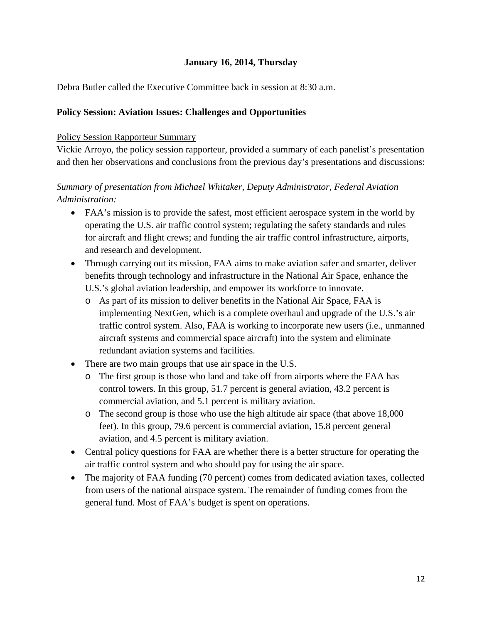### **January 16, 2014, Thursday**

Debra Butler called the Executive Committee back in session at 8:30 a.m.

### **Policy Session: Aviation Issues: Challenges and Opportunities**

#### Policy Session Rapporteur Summary

Vickie Arroyo, the policy session rapporteur, provided a summary of each panelist's presentation and then her observations and conclusions from the previous day's presentations and discussions:

## *Summary of presentation from Michael Whitaker, Deputy Administrator, Federal Aviation Administration:*

- FAA's mission is to provide the safest, most efficient aerospace system in the world by operating the U.S. air traffic control system; regulating the safety standards and rules for aircraft and flight crews; and funding the air traffic control infrastructure, airports, and research and development.
- Through carrying out its mission, FAA aims to make aviation safer and smarter, deliver benefits through technology and infrastructure in the National Air Space, enhance the U.S.'s global aviation leadership, and empower its workforce to innovate.
	- o As part of its mission to deliver benefits in the National Air Space, FAA is implementing NextGen, which is a complete overhaul and upgrade of the U.S.'s air traffic control system. Also, FAA is working to incorporate new users (i.e., unmanned aircraft systems and commercial space aircraft) into the system and eliminate redundant aviation systems and facilities.
- There are two main groups that use air space in the U.S.
	- o The first group is those who land and take off from airports where the FAA has control towers. In this group, 51.7 percent is general aviation, 43.2 percent is commercial aviation, and 5.1 percent is military aviation.
	- o The second group is those who use the high altitude air space (that above 18,000 feet). In this group, 79.6 percent is commercial aviation, 15.8 percent general aviation, and 4.5 percent is military aviation.
- Central policy questions for FAA are whether there is a better structure for operating the air traffic control system and who should pay for using the air space.
- The majority of FAA funding (70 percent) comes from dedicated aviation taxes, collected from users of the national airspace system. The remainder of funding comes from the general fund. Most of FAA's budget is spent on operations.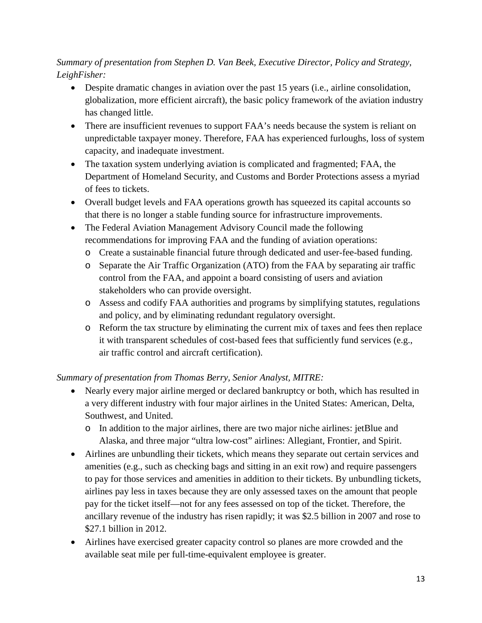# *Summary of presentation from Stephen D. Van Beek, Executive Director, Policy and Strategy, LeighFisher:*

- Despite dramatic changes in aviation over the past 15 years (i.e., airline consolidation, globalization, more efficient aircraft), the basic policy framework of the aviation industry has changed little.
- There are insufficient revenues to support FAA's needs because the system is reliant on unpredictable taxpayer money. Therefore, FAA has experienced furloughs, loss of system capacity, and inadequate investment.
- The taxation system underlying aviation is complicated and fragmented; FAA, the Department of Homeland Security, and Customs and Border Protections assess a myriad of fees to tickets.
- Overall budget levels and FAA operations growth has squeezed its capital accounts so that there is no longer a stable funding source for infrastructure improvements.
- The Federal Aviation Management Advisory Council made the following recommendations for improving FAA and the funding of aviation operations:
	- o Create a sustainable financial future through dedicated and user-fee-based funding.
	- o Separate the Air Traffic Organization (ATO) from the FAA by separating air traffic control from the FAA, and appoint a board consisting of users and aviation stakeholders who can provide oversight.
	- o Assess and codify FAA authorities and programs by simplifying statutes, regulations and policy, and by eliminating redundant regulatory oversight.
	- o Reform the tax structure by eliminating the current mix of taxes and fees then replace it with transparent schedules of cost-based fees that sufficiently fund services (e.g., air traffic control and aircraft certification).

## *Summary of presentation from [Thomas Berry,](http://onlinepubs.trb.org/onlinepubs/excomm/14-01-Berry.pdf) Senior Analyst, MITRE:*

- Nearly every major airline merged or declared bankruptcy or both, which has resulted in a very different industry with four major airlines in the United States: American, Delta, Southwest, and United.
	- o In addition to the major airlines, there are two major niche airlines: jetBlue and Alaska, and three major "ultra low-cost" airlines: Allegiant, Frontier, and Spirit.
- Airlines are unbundling their tickets, which means they separate out certain services and amenities (e.g., such as checking bags and sitting in an exit row) and require passengers to pay for those services and amenities in addition to their tickets. By unbundling tickets, airlines pay less in taxes because they are only assessed taxes on the amount that people pay for the ticket itself—not for any fees assessed on top of the ticket. Therefore, the ancillary revenue of the industry has risen rapidly; it was \$2.5 billion in 2007 and rose to \$27.1 billion in 2012.
- Airlines have exercised greater capacity control so planes are more crowded and the available seat mile per full-time-equivalent employee is greater.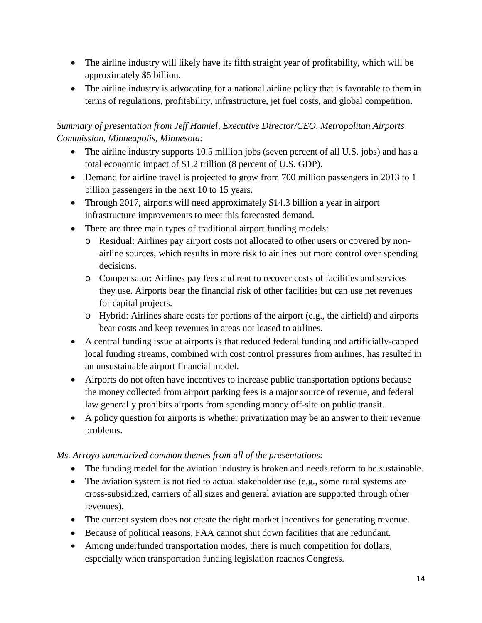- The airline industry will likely have its fifth straight year of profitability, which will be approximately \$5 billion.
- The airline industry is advocating for a national airline policy that is favorable to them in terms of regulations, profitability, infrastructure, jet fuel costs, and global competition.

# *Summary of presentation from [Jeff Hamiel,](http://onlinepubs.trb.org/onlinepubs/excomm/14-01-Hamiel.pdf) Executive Director/CEO, Metropolitan Airports Commission, Minneapolis, Minnesota:*

- The airline industry supports 10.5 million jobs (seven percent of all U.S. jobs) and has a total economic impact of \$1.2 trillion (8 percent of U.S. GDP).
- Demand for airline travel is projected to grow from 700 million passengers in 2013 to 1 billion passengers in the next 10 to 15 years.
- Through 2017, airports will need approximately \$14.3 billion a year in airport infrastructure improvements to meet this forecasted demand.
- There are three main types of traditional airport funding models:
	- o Residual: Airlines pay airport costs not allocated to other users or covered by nonairline sources, which results in more risk to airlines but more control over spending decisions.
	- o Compensator: Airlines pay fees and rent to recover costs of facilities and services they use. Airports bear the financial risk of other facilities but can use net revenues for capital projects.
	- o Hybrid: Airlines share costs for portions of the airport (e.g., the airfield) and airports bear costs and keep revenues in areas not leased to airlines.
- A central funding issue at airports is that reduced federal funding and artificially-capped local funding streams, combined with cost control pressures from airlines, has resulted in an unsustainable airport financial model.
- Airports do not often have incentives to increase public transportation options because the money collected from airport parking fees is a major source of revenue, and federal law generally prohibits airports from spending money off-site on public transit.
- A policy question for airports is whether privatization may be an answer to their revenue problems.

## *Ms. Arroyo summarized common themes from all of the presentations:*

- The funding model for the aviation industry is broken and needs reform to be sustainable.
- The aviation system is not tied to actual stakeholder use (e.g., some rural systems are cross-subsidized, carriers of all sizes and general aviation are supported through other revenues).
- The current system does not create the right market incentives for generating revenue.
- Because of political reasons, FAA cannot shut down facilities that are redundant.
- Among underfunded transportation modes, there is much competition for dollars, especially when transportation funding legislation reaches Congress.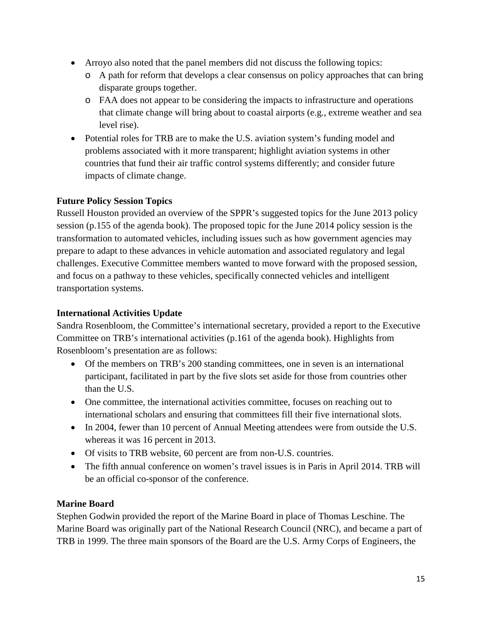- Arroyo also noted that the panel members did not discuss the following topics:
	- o A path for reform that develops a clear consensus on policy approaches that can bring disparate groups together.
	- o FAA does not appear to be considering the impacts to infrastructure and operations that climate change will bring about to coastal airports (e.g., extreme weather and sea level rise).
- Potential roles for TRB are to make the U.S. aviation system's funding model and problems associated with it more transparent; highlight aviation systems in other countries that fund their air traffic control systems differently; and consider future impacts of climate change.

## **Future Policy Session Topics**

Russell Houston provided an overview of the SPPR's suggested topics for the June 2013 policy session (p.155 of the agenda book). The proposed topic for the June 2014 policy session is the transformation to automated vehicles, including issues such as how government agencies may prepare to adapt to these advances in vehicle automation and associated regulatory and legal challenges. Executive Committee members wanted to move forward with the proposed session, and focus on a pathway to these vehicles, specifically connected vehicles and intelligent transportation systems.

### **International Activities Update**

Sandra Rosenbloom, the Committee's international secretary, provided a report to the Executive Committee on TRB's international activities (p.161 of the agenda book). Highlights from Rosenbloom's presentation are as follows:

- Of the members on TRB's 200 standing committees, one in seven is an international participant, facilitated in part by the five slots set aside for those from countries other than the U.S.
- One committee, the international activities committee, focuses on reaching out to international scholars and ensuring that committees fill their five international slots.
- In 2004, fewer than 10 percent of Annual Meeting attendees were from outside the U.S. whereas it was 16 percent in 2013.
- Of visits to TRB website, 60 percent are from non-U.S. countries.
- The fifth annual conference on women's travel issues is in Paris in April 2014. TRB will be an official co-sponsor of the conference.

### **Marine Board**

Stephen Godwin provided the report of the Marine Board in place of Thomas Leschine. The Marine Board was originally part of the National Research Council (NRC), and became a part of TRB in 1999. The three main sponsors of the Board are the U.S. Army Corps of Engineers, the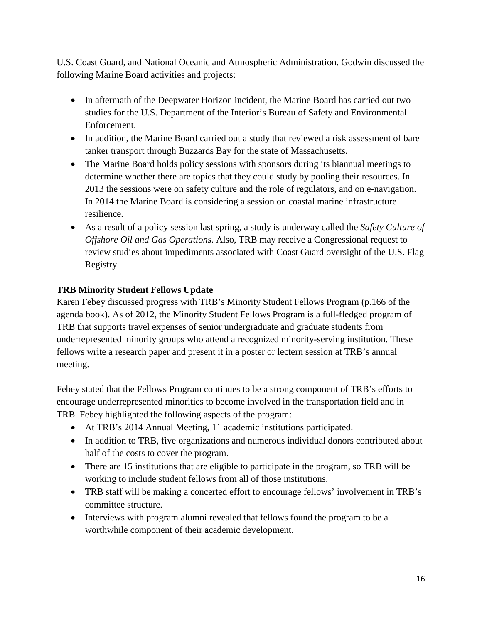U.S. Coast Guard, and National Oceanic and Atmospheric Administration. Godwin discussed the following Marine Board activities and projects:

- In aftermath of the Deepwater Horizon incident, the Marine Board has carried out two studies for the U.S. Department of the Interior's Bureau of Safety and Environmental Enforcement.
- In addition, the Marine Board carried out a study that reviewed a risk assessment of bare tanker transport through Buzzards Bay for the state of Massachusetts.
- The Marine Board holds policy sessions with sponsors during its biannual meetings to determine whether there are topics that they could study by pooling their resources. In 2013 the sessions were on safety culture and the role of regulators, and on e-navigation. In 2014 the Marine Board is considering a session on coastal marine infrastructure resilience.
- As a result of a policy session last spring, a study is underway called the *Safety Culture of Offshore Oil and Gas Operations*. Also, TRB may receive a Congressional request to review studies about impediments associated with Coast Guard oversight of the U.S. Flag Registry.

## **TRB Minority Student Fellows Update**

Karen Febey discussed progress with TRB's Minority Student Fellows Program (p.166 of the agenda book). As of 2012, the Minority Student Fellows Program is a full-fledged program of TRB that supports travel expenses of senior undergraduate and graduate students from underrepresented minority groups who attend a recognized minority-serving institution. These fellows write a research paper and present it in a poster or lectern session at TRB's annual meeting.

Febey stated that the Fellows Program continues to be a strong component of TRB's efforts to encourage underrepresented minorities to become involved in the transportation field and in TRB. Febey highlighted the following aspects of the program:

- At TRB's 2014 Annual Meeting, 11 academic institutions participated.
- In addition to TRB, five organizations and numerous individual donors contributed about half of the costs to cover the program.
- There are 15 institutions that are eligible to participate in the program, so TRB will be working to include student fellows from all of those institutions.
- TRB staff will be making a concerted effort to encourage fellows' involvement in TRB's committee structure.
- Interviews with program alumni revealed that fellows found the program to be a worthwhile component of their academic development.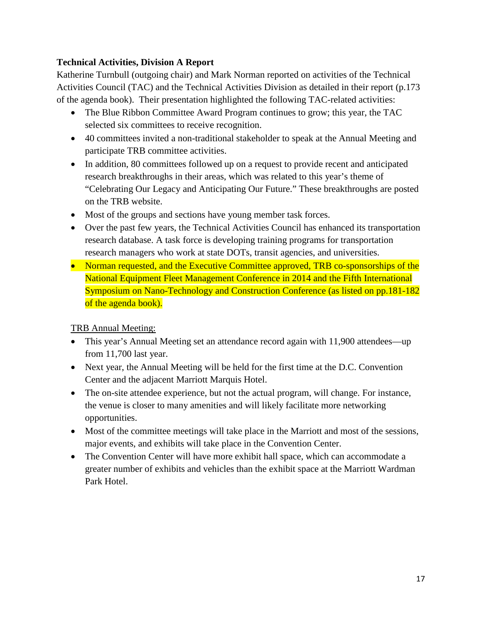## **Technical Activities, Division A Report**

Katherine Turnbull (outgoing chair) and Mark Norman reported on activities of the Technical Activities Council (TAC) and the Technical Activities Division as detailed in their report (p.173 of the agenda book). Their presentation highlighted the following TAC-related activities:

- The Blue Ribbon Committee Award Program continues to grow; this year, the TAC selected six committees to receive recognition.
- 40 committees invited a non-traditional stakeholder to speak at the Annual Meeting and participate TRB committee activities.
- In addition, 80 committees followed up on a request to provide recent and anticipated research breakthroughs in their areas, which was related to this year's theme of "Celebrating Our Legacy and Anticipating Our Future." These breakthroughs are posted on the TRB website.
- Most of the groups and sections have young member task forces.
- Over the past few years, the Technical Activities Council has enhanced its transportation research database. A task force is developing training programs for transportation research managers who work at state DOTs, transit agencies, and universities.
- Norman requested, and the Executive Committee approved, TRB co-sponsorships of the National Equipment Fleet Management Conference in 2014 and the Fifth International Symposium on Nano-Technology and Construction Conference (as listed on pp.181-182 of the agenda book).

TRB Annual Meeting:

- This year's Annual Meeting set an attendance record again with 11,900 attendees—up from 11,700 last year.
- Next year, the Annual Meeting will be held for the first time at the D.C. Convention Center and the adjacent Marriott Marquis Hotel.
- The on-site attendee experience, but not the actual program, will change. For instance, the venue is closer to many amenities and will likely facilitate more networking opportunities.
- Most of the committee meetings will take place in the Marriott and most of the sessions, major events, and exhibits will take place in the Convention Center.
- The Convention Center will have more exhibit hall space, which can accommodate a greater number of exhibits and vehicles than the exhibit space at the Marriott Wardman Park Hotel.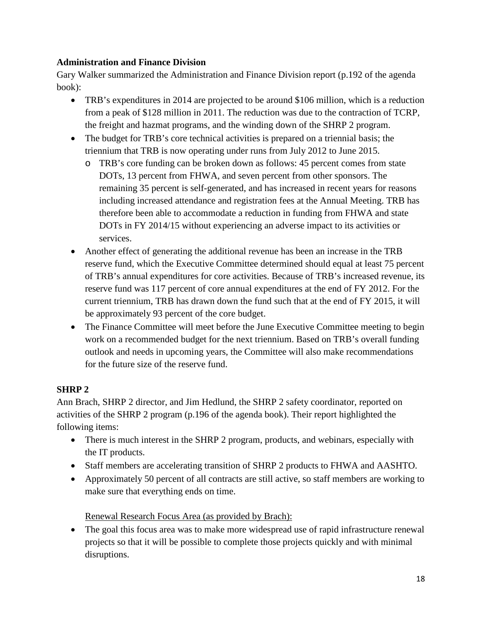## **Administration and Finance Division**

Gary Walker summarized the Administration and Finance Division report (p.192 of the agenda book):

- TRB's expenditures in 2014 are projected to be around \$106 million, which is a reduction from a peak of \$128 million in 2011. The reduction was due to the contraction of TCRP, the freight and hazmat programs, and the winding down of the SHRP 2 program.
- The budget for TRB's core technical activities is prepared on a triennial basis; the triennium that TRB is now operating under runs from July 2012 to June 2015.
	- o TRB's core funding can be broken down as follows: 45 percent comes from state DOTs, 13 percent from FHWA, and seven percent from other sponsors. The remaining 35 percent is self-generated, and has increased in recent years for reasons including increased attendance and registration fees at the Annual Meeting. TRB has therefore been able to accommodate a reduction in funding from FHWA and state DOTs in FY 2014/15 without experiencing an adverse impact to its activities or services.
- Another effect of generating the additional revenue has been an increase in the TRB reserve fund, which the Executive Committee determined should equal at least 75 percent of TRB's annual expenditures for core activities. Because of TRB's increased revenue, its reserve fund was 117 percent of core annual expenditures at the end of FY 2012. For the current triennium, TRB has drawn down the fund such that at the end of FY 2015, it will be approximately 93 percent of the core budget.
- The Finance Committee will meet before the June Executive Committee meeting to begin work on a recommended budget for the next triennium. Based on TRB's overall funding outlook and needs in upcoming years, the Committee will also make recommendations for the future size of the reserve fund.

## **SHRP 2**

Ann Brach, SHRP 2 director, and Jim Hedlund, the SHRP 2 safety coordinator, reported on activities of the SHRP 2 program (p.196 of the agenda book). Their report highlighted the following items:

- There is much interest in the SHRP 2 program, products, and webinars, especially with the IT products.
- Staff members are accelerating transition of SHRP 2 products to FHWA and AASHTO.
- Approximately 50 percent of all contracts are still active, so staff members are working to make sure that everything ends on time.

Renewal Research Focus Area (as provided by Brach):

• The goal this focus area was to make more widespread use of rapid infrastructure renewal projects so that it will be possible to complete those projects quickly and with minimal disruptions.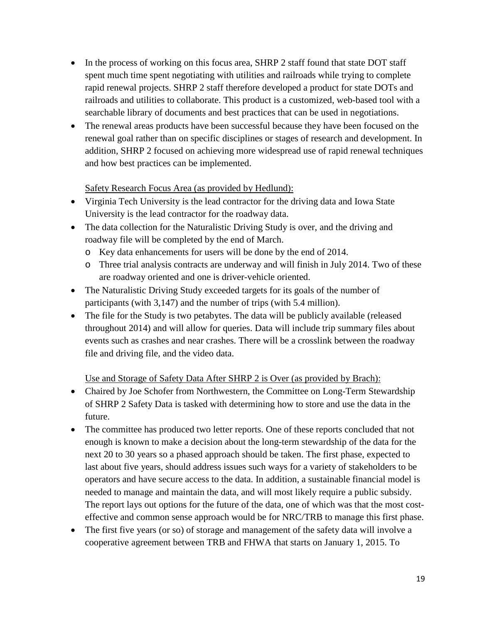- In the process of working on this focus area, SHRP 2 staff found that state DOT staff spent much time spent negotiating with utilities and railroads while trying to complete rapid renewal projects. SHRP 2 staff therefore developed a product for state DOTs and railroads and utilities to collaborate. This product is a customized, web-based tool with a searchable library of documents and best practices that can be used in negotiations.
- The renewal areas products have been successful because they have been focused on the renewal goal rather than on specific disciplines or stages of research and development. In addition, SHRP 2 focused on achieving more widespread use of rapid renewal techniques and how best practices can be implemented.

## Safety Research Focus Area (as provided by Hedlund):

- Virginia Tech University is the lead contractor for the driving data and Iowa State University is the lead contractor for the roadway data.
- The data collection for the Naturalistic Driving Study is over, and the driving and roadway file will be completed by the end of March.
	- o Key data enhancements for users will be done by the end of 2014.
	- o Three trial analysis contracts are underway and will finish in July 2014. Two of these are roadway oriented and one is driver-vehicle oriented.
- The Naturalistic Driving Study exceeded targets for its goals of the number of participants (with 3,147) and the number of trips (with 5.4 million).
- The file for the Study is two petabytes. The data will be publicly available (released throughout 2014) and will allow for queries. Data will include trip summary files about events such as crashes and near crashes. There will be a crosslink between the roadway file and driving file, and the video data.

## Use and Storage of Safety Data After SHRP 2 is Over (as provided by Brach):

- Chaired by Joe Schofer from Northwestern, the Committee on Long-Term Stewardship of SHRP 2 Safety Data is tasked with determining how to store and use the data in the future.
- The committee has produced two letter reports. One of these reports concluded that not enough is known to make a decision about the long-term stewardship of the data for the next 20 to 30 years so a phased approach should be taken. The first phase, expected to last about five years, should address issues such ways for a variety of stakeholders to be operators and have secure access to the data. In addition, a sustainable financial model is needed to manage and maintain the data, and will most likely require a public subsidy. The report lays out options for the future of the data, one of which was that the most costeffective and common sense approach would be for NRC/TRB to manage this first phase.
- The first five years (or so) of storage and management of the safety data will involve a cooperative agreement between TRB and FHWA that starts on January 1, 2015. To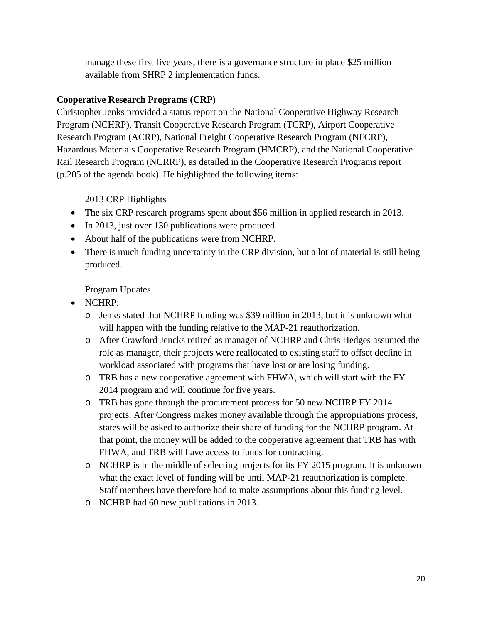manage these first five years, there is a governance structure in place \$25 million available from SHRP 2 implementation funds.

### **Cooperative Research Programs (CRP)**

Christopher Jenks provided a status report on the National Cooperative Highway Research Program (NCHRP), Transit Cooperative Research Program (TCRP), Airport Cooperative Research Program (ACRP), National Freight Cooperative Research Program (NFCRP), Hazardous Materials Cooperative Research Program (HMCRP), and the National Cooperative Rail Research Program (NCRRP), as detailed in the Cooperative Research Programs report (p.205 of the agenda book). He highlighted the following items:

## 2013 CRP Highlights

- The six CRP research programs spent about \$56 million in applied research in 2013.
- In 2013, just over 130 publications were produced.
- About half of the publications were from NCHRP.
- There is much funding uncertainty in the CRP division, but a lot of material is still being produced.

## Program Updates

- NCHRP:
	- o Jenks stated that NCHRP funding was \$39 million in 2013, but it is unknown what will happen with the funding relative to the MAP-21 reauthorization.
	- o After Crawford Jencks retired as manager of NCHRP and Chris Hedges assumed the role as manager, their projects were reallocated to existing staff to offset decline in workload associated with programs that have lost or are losing funding.
	- o TRB has a new cooperative agreement with FHWA, which will start with the FY 2014 program and will continue for five years.
	- o TRB has gone through the procurement process for 50 new NCHRP FY 2014 projects. After Congress makes money available through the appropriations process, states will be asked to authorize their share of funding for the NCHRP program. At that point, the money will be added to the cooperative agreement that TRB has with FHWA, and TRB will have access to funds for contracting.
	- o NCHRP is in the middle of selecting projects for its FY 2015 program. It is unknown what the exact level of funding will be until MAP-21 reauthorization is complete. Staff members have therefore had to make assumptions about this funding level.
	- o NCHRP had 60 new publications in 2013.